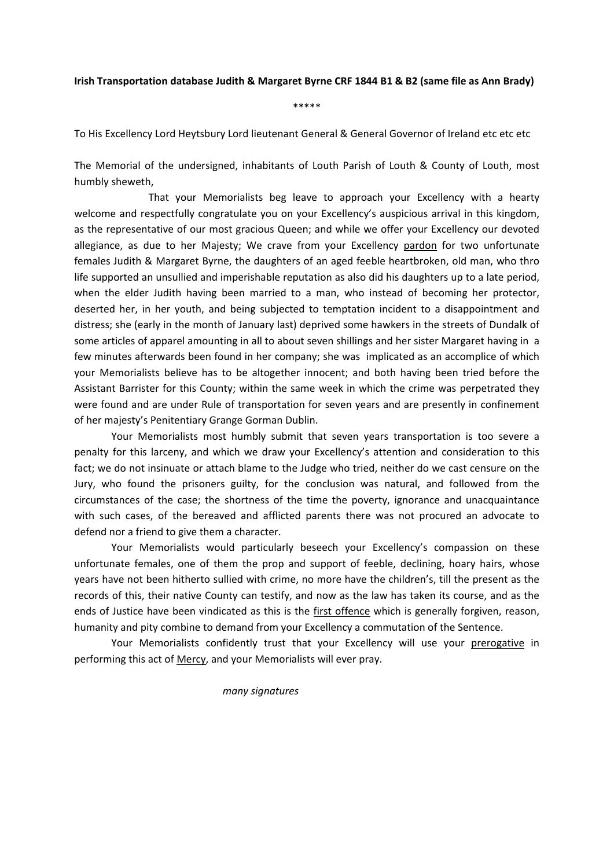## **Irish Transportation database Judith & Margaret Byrne CRF 1844 B1 & B2 (same file as Ann Brady)**

\*\*\*\*\*

To His Excellency Lord Heytsbury Lord lieutenant General & General Governor of Ireland etc etc etc

The Memorial of the undersigned, inhabitants of Louth Parish of Louth & County of Louth, most humbly sheweth,

 That your Memorialists beg leave to approach your Excellency with a hearty welcome and respectfully congratulate you on your Excellency's auspicious arrival in this kingdom, as the representative of our most gracious Queen; and while we offer your Excellency our devoted allegiance, as due to her Majesty; We crave from your Excellency pardon for two unfortunate females Judith & Margaret Byrne, the daughters of an aged feeble heartbroken, old man, who thro life supported an unsullied and imperishable reputation as also did his daughters up to a late period, when the elder Judith having been married to a man, who instead of becoming her protector, deserted her, in her youth, and being subjected to temptation incident to a disappointment and distress; she (early in the month of January last) deprived some hawkers in the streets of Dundalk of some articles of apparel amounting in all to about seven shillings and her sister Margaret having in a few minutes afterwards been found in her company; she was implicated as an accomplice of which your Memorialists believe has to be altogether innocent; and both having been tried before the Assistant Barrister for this County; within the same week in which the crime was perpetrated they were found and are under Rule of transportation for seven years and are presently in confinement of her majesty's Penitentiary Grange Gorman Dublin.

Your Memorialists most humbly submit that seven years transportation is too severe a penalty for this larceny, and which we draw your Excellency's attention and consideration to this fact; we do not insinuate or attach blame to the Judge who tried, neither do we cast censure on the Jury, who found the prisoners guilty, for the conclusion was natural, and followed from the circumstances of the case; the shortness of the time the poverty, ignorance and unacquaintance with such cases, of the bereaved and afflicted parents there was not procured an advocate to defend nor a friend to give them a character.

Your Memorialists would particularly beseech your Excellency's compassion on these unfortunate females, one of them the prop and support of feeble, declining, hoary hairs, whose years have not been hitherto sullied with crime, no more have the children's, till the present as the records of this, their native County can testify, and now as the law has taken its course, and as the ends of Justice have been vindicated as this is the first offence which is generally forgiven, reason, humanity and pity combine to demand from your Excellency a commutation of the Sentence.

Your Memorialists confidently trust that your Excellency will use your prerogative in performing this act of Mercy, and your Memorialists will ever pray.

*many signatures*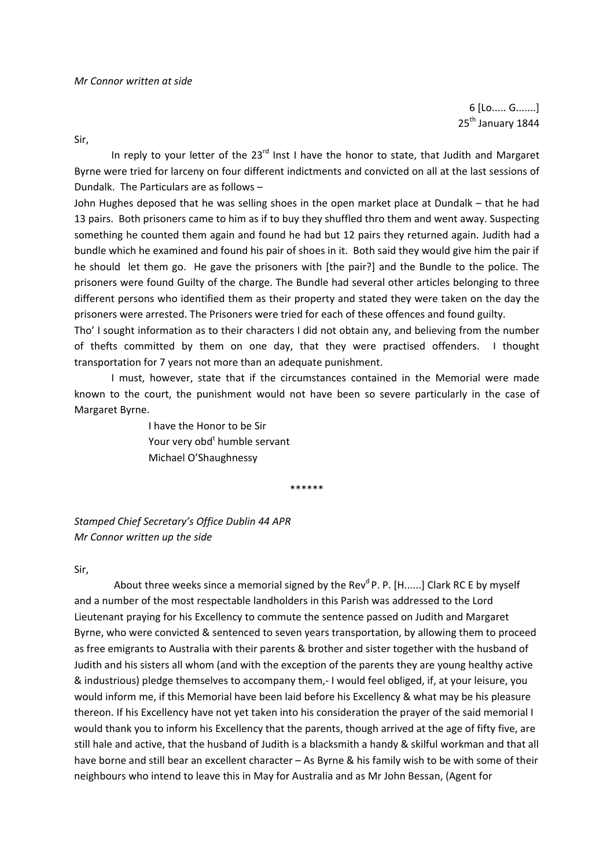6 [Lo..... G.......] 25<sup>th</sup> January 1844

Sir,

In reply to your letter of the  $23<sup>rd</sup>$  Inst I have the honor to state, that Judith and Margaret Byrne were tried for larceny on four different indictments and convicted on all at the last sessions of Dundalk. The Particulars are as follows –

John Hughes deposed that he was selling shoes in the open market place at Dundalk – that he had 13 pairs. Both prisoners came to him as if to buy they shuffled thro them and went away. Suspecting something he counted them again and found he had but 12 pairs they returned again. Judith had a bundle which he examined and found his pair of shoes in it. Both said they would give him the pair if he should let them go. He gave the prisoners with [the pair?] and the Bundle to the police. The prisoners were found Guilty of the charge. The Bundle had several other articles belonging to three different persons who identified them as their property and stated they were taken on the day the prisoners were arrested. The Prisoners were tried for each of these offences and found guilty.

Tho' I sought information as to their characters I did not obtain any, and believing from the number of thefts committed by them on one day, that they were practised offenders. I thought transportation for 7 years not more than an adequate punishment.

I must, however, state that if the circumstances contained in the Memorial were made known to the court, the punishment would not have been so severe particularly in the case of Margaret Byrne.

 I have the Honor to be Sir Your very obd<sup>t</sup> humble servant Michael O'Shaughnessy

\*\*\*\*\*\*

*Stamped Chief Secretary's Office Dublin 44 APR Mr Connor written up the side*

## Sir,

About three weeks since a memorial signed by the Rev<sup>d</sup> P. P. [H......] Clark RC E by myself and a number of the most respectable landholders in this Parish was addressed to the Lord Lieutenant praying for his Excellency to commute the sentence passed on Judith and Margaret Byrne, who were convicted & sentenced to seven years transportation, by allowing them to proceed as free emigrants to Australia with their parents & brother and sister together with the husband of Judith and his sisters all whom (and with the exception of the parents they are young healthy active & industrious) pledge themselves to accompany them,‐ I would feel obliged, if, at your leisure, you would inform me, if this Memorial have been laid before his Excellency & what may be his pleasure thereon. If his Excellency have not yet taken into his consideration the prayer of the said memorial I would thank you to inform his Excellency that the parents, though arrived at the age of fifty five, are still hale and active, that the husband of Judith is a blacksmith a handy & skilful workman and that all have borne and still bear an excellent character – As Byrne & his family wish to be with some of their neighbours who intend to leave this in May for Australia and as Mr John Bessan, (Agent for